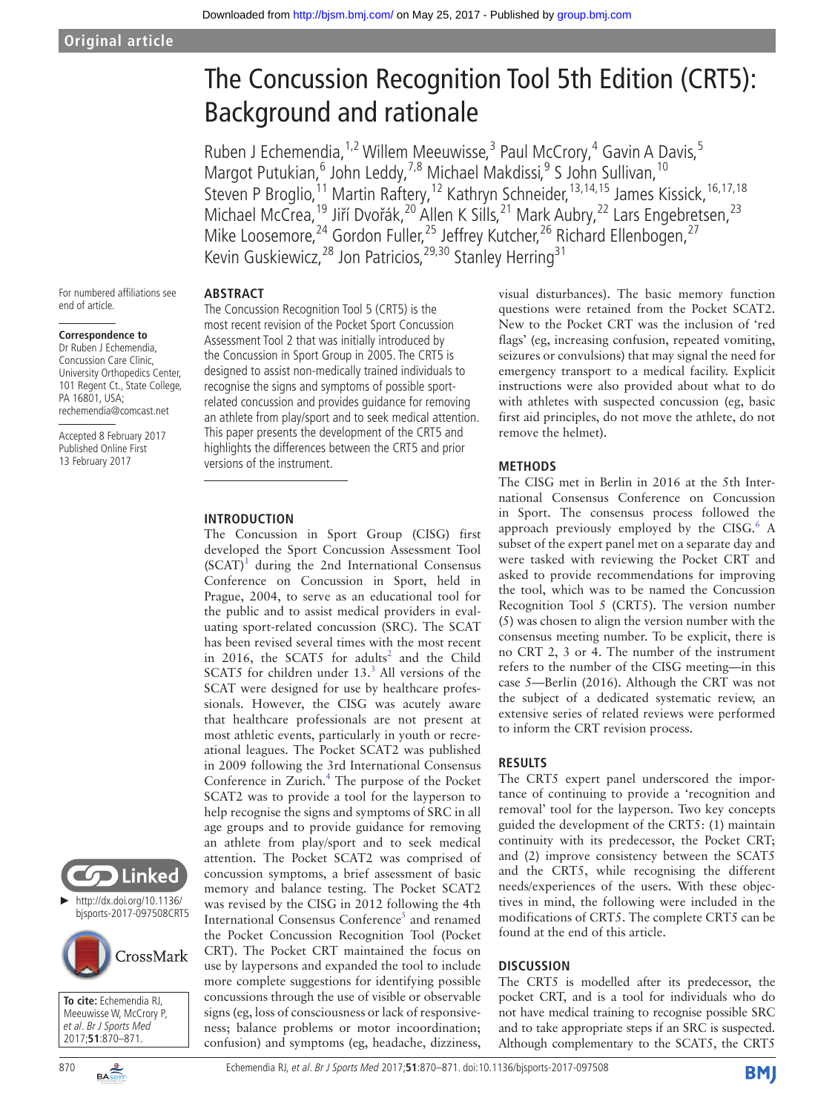Downloaded from<http://bjsm.bmj.com/>on May 25, 2017 - Published by [group.bmj.com](http://group.bmj.com)

Ruben J Echemendia,<sup>1,2</sup> Willem Meeuwisse,<sup>3</sup> Paul McCrory,<sup>4</sup> Gavin A Davis,<sup>5</sup> Margot Putukian, <sup>6</sup> John Leddy, <sup>7,8</sup> Michael Makdissi, <sup>9</sup> S John Sullivan, <sup>10</sup> Steven P Broglio,<sup>11</sup> Martin Raftery,<sup>12</sup> Kathryn Schneider,<sup>13,14,15</sup> James Kissick,<sup>16,17,18</sup> Michael McCrea,<sup>19</sup> Jiří Dvořák,<sup>20</sup> Allen K Sills,<sup>21</sup> Mark Aubry,<sup>22</sup> Lars Engebretsen,<sup>23</sup> Mike Loosemore,<sup>24</sup> Gordon Fuller,<sup>25</sup> Jeffrey Kutcher,<sup>26</sup> Richard Ellenbogen,<sup>27</sup> Kevin Guskiewicz,<sup>28</sup> Jon Patricios,<sup>29,30</sup> Stanley Herring<sup>31</sup>

For numbered affiliations see end of article.

#### **Correspondence to**

Dr Ruben J Echemendia, Concussion Care Clinic, University Orthopedics Center, 101 Regent Ct., State College, PA 16801, USA; rechemendia@comcast.net

Accepted 8 February 2017 Published Online First 13 February 2017



► [http://dx.doi.org/10.1136/](http://dx.doi.org/bjsports-2017-097508CRT5) [bjsports-2017-097508CRT5](http://dx.doi.org/bjsports-2017-097508CRT5)



**To cite:** Echemendia RJ, Meeuwisse W, McCrory P, et al. Br J Sports Med 2017;**51**:870–871.



# **Abstract**

The Concussion Recognition Tool 5 (CRT5) is the most recent revision of the Pocket Sport Concussion Assessment Tool 2 that was initially introduced by the Concussion in Sport Group in 2005. The CRT5 is designed to assist non-medically trained individuals to recognise the signs and symptoms of possible sportrelated concussion and provides guidance for removing an athlete from play/sport and to seek medical attention. This paper presents the development of the CRT5 and highlights the differences between the CRT5 and prior versions of the instrument.

# **Introduction**

The Concussion in Sport Group (CISG) first developed the Sport Concussion Assessment Tool  $(SCAT)^1$  $(SCAT)^1$  during the 2nd International Consensus Conference on Concussion in Sport, held in Prague, 2004, to serve as an educational tool for the public and to assist medical providers in evaluating sport-related concussion (SRC). The SCAT has been revised several times with the most recent in 2016, the SCAT5 for adults<sup>2</sup> and the Child SCAT5 for children under  $13<sup>3</sup>$  $13<sup>3</sup>$  $13<sup>3</sup>$  All versions of the SCAT were designed for use by healthcare professionals. However, the CISG was acutely aware that healthcare professionals are not present at most athletic events, particularly in youth or recreational leagues. The Pocket SCAT2 was published in 2009 following the 3rd International Consensus Conference in Zurich.<sup>[4](#page-1-3)</sup> The purpose of the Pocket SCAT2 was to provide a tool for the layperson to help recognise the signs and symptoms of SRC in all age groups and to provide guidance for removing an athlete from play/sport and to seek medical attention. The Pocket SCAT2 was comprised of concussion symptoms, a brief assessment of basic memory and balance testing. The Pocket SCAT2 was revised by the CISG in 2012 following the 4th International Consensus Conference<sup>[5](#page-1-4)</sup> and renamed the Pocket Concussion Recognition Tool (Pocket CRT). The Pocket CRT maintained the focus on use by laypersons and expanded the tool to include more complete suggestions for identifying possible concussions through the use of visible or observable signs (eg, loss of consciousness or lack of responsiveness; balance problems or motor incoordination; confusion) and symptoms (eg, headache, dizziness,

visual disturbances). The basic memory function questions were retained from the Pocket SCAT2. New to the Pocket CRT was the inclusion of 'red flags' (eg, increasing confusion, repeated vomiting, seizures or convulsions) that may signal the need for emergency transport to a medical facility. Explicit instructions were also provided about what to do with athletes with suspected concussion (eg, basic first aid principles, do not move the athlete, do not remove the helmet).

# **Methods**

The CISG met in Berlin in 2016 at the 5th International Consensus Conference on Concussion in Sport. The consensus process followed the approach previously employed by the CISG.<sup>[6](#page-1-5)</sup> A subset of the expert panel met on a separate day and were tasked with reviewing the Pocket CRT and asked to provide recommendations for improving the tool, which was to be named the Concussion Recognition Tool 5 (CRT5). The version number (5) was chosen to align the version number with the consensus meeting number. To be explicit, there is no CRT 2, 3 or 4. The number of the instrument refers to the number of the CISG meeting—in this case 5—Berlin (2016). Although the CRT was not the subject of a dedicated systematic review, an extensive series of related reviews were performed to inform the CRT revision process.

## **Results**

The CRT5 expert panel underscored the importance of continuing to provide a 'recognition and removal' tool for the layperson. Two key concepts guided the development of the CRT5: (1) maintain continuity with its predecessor, the Pocket CRT; and (2) improve consistency between the SCAT5 and the CRT5, while recognising the different needs/experiences of the users. With these objectives in mind, the following were included in the modifications of CRT5. The complete CRT5 can be found at the end of this article.

# **Discussion**

The CRT5 is modelled after its predecessor, the pocket CRT, and is a tool for individuals who do not have medical training to recognise possible SRC and to take appropriate steps if an SRC is suspected. Although complementary to the SCAT5, the CRT5

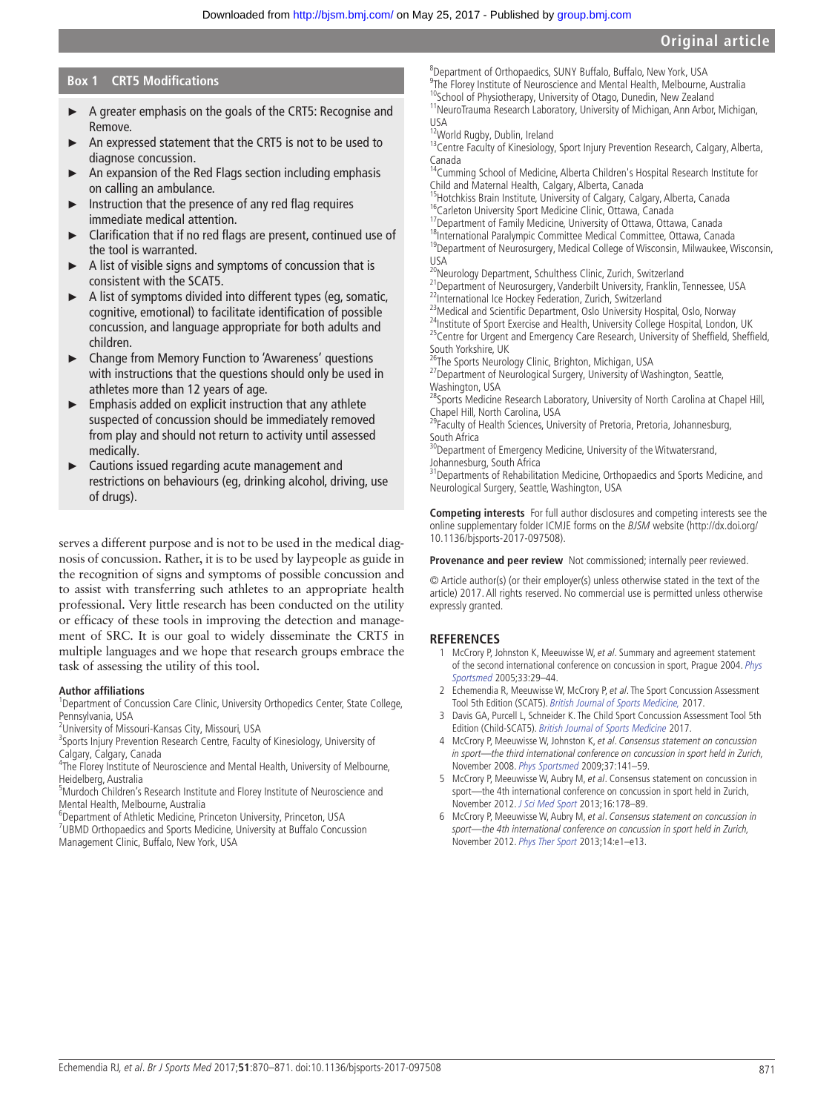# **Original article**

# **Box 1 CRT5 Modifications**

- ► A greater emphasis on the goals of the CRT5: Recognise and Remove.
- An expressed statement that the CRT5 is not to be used to diagnose concussion.
- $\triangleright$  An expansion of the Red Flags section including emphasis on calling an ambulance.
- ► Instruction that the presence of any red flag requires immediate medical attention.
- ► Clarification that if no red flags are present, continued use of the tool is warranted.
- A list of visible signs and symptoms of concussion that is consistent with the SCAT5.
- ► A list of symptoms divided into different types (eg, somatic, cognitive, emotional) to facilitate identification of possible concussion, and language appropriate for both adults and children.
- ► Change from Memory Function to 'Awareness' questions with instructions that the questions should only be used in athletes more than 12 years of age.
- ► Emphasis added on explicit instruction that any athlete suspected of concussion should be immediately removed from play and should not return to activity until assessed medically.
- Cautions issued regarding acute management and restrictions on behaviours (eg, drinking alcohol, driving, use of drugs).

serves a different purpose and is not to be used in the medical diagnosis of concussion. Rather, it is to be used by laypeople as guide in the recognition of signs and symptoms of possible concussion and to assist with transferring such athletes to an appropriate health professional. Very little research has been conducted on the utility or efficacy of these tools in improving the detection and management of SRC. It is our goal to widely disseminate the CRT5 in multiple languages and we hope that research groups embrace the task of assessing the utility of this tool.

#### **Author affiliations**

<sup>1</sup>Department of Concussion Care Clinic, University Orthopedics Center, State College, Pennsylvania, USA

<sup>2</sup>University of Missouri-Kansas City, Missouri, USA

<sup>3</sup>Sports Injury Prevention Research Centre, Faculty of Kinesiology, University of Calgary, Calgary, Canada

<sup>4</sup>The Florey Institute of Neuroscience and Mental Health, University of Melbourne, Heidelberg, Australia

<sup>5</sup>Murdoch Children's Research Institute and Florey Institute of Neuroscience and Mental Health, Melbourne, Australia

6 Department of Athletic Medicine, Princeton University, Princeton, USA

<sup>7</sup>UBMD Orthopaedics and Sports Medicine, University at Buffalo Concussion Management Clinic, Buffalo, New York, USA

8 Department of Orthopaedics, SUNY Buffalo, Buffalo, New York, USA <sup>9</sup>The Florey Institute of Neuroscience and Mental Health, Melbourne, Australia <sup>10</sup>School of Physiotherapy, University of Otago, Dunedin, New Zealand <sup>11</sup>NeuroTrauma Research Laboratory, University of Michigan, Ann Arbor, Michigan,

USA

<sup>12</sup>World Rugby, Dublin, Ireland

13Centre Faculty of Kinesiology, Sport Injury Prevention Research, Calgary, Alberta, Canada

<sup>14</sup>Cumming School of Medicine, Alberta Children's Hospital Research Institute for Child and Maternal Health, Calgary, Alberta, Canada

<sup>15</sup>Hotchkiss Brain Institute, University of Calgary, Calgary, Alberta, Canada <sup>16</sup>Carleton University Sport Medicine Clinic, Ottawa, Canada

<sup>17</sup>Department of Family Medicine, University of Ottawa, Ottawa, Canada

<sup>18</sup>International Paralympic Committee Medical Committee, Ottawa, Canada <sup>19</sup>Department of Neurosurgery, Medical College of Wisconsin, Milwaukee, Wisconsin, USA

<sup>20</sup>Neurology Department, Schulthess Clinic, Zurich, Switzerland

21Department of Neurosurgery, Vanderbilt University, Franklin, Tennessee, USA <sup>22</sup>International Ice Hockey Federation, Zurich, Switzerland

<sup>23</sup>Medical and Scientific Department, Oslo University Hospital, Oslo, Norway

<sup>24</sup>Institute of Sport Exercise and Health, University College Hospital, London, UK <sup>25</sup>Centre for Urgent and Emergency Care Research, University of Sheffield, Sheffield, South Yorkshire, UK

<sup>26</sup>The Sports Neurology Clinic, Brighton, Michigan, USA

<sup>27</sup>Department of Neurological Surgery, University of Washington, Seattle, Washington, USA

28Sports Medicine Research Laboratory, University of North Carolina at Chapel Hill, Chapel Hill, North Carolina, USA

<sup>29</sup>Faculty of Health Sciences, University of Pretoria, Pretoria, Johannesburg, South Africa

<sup>30</sup>Department of Emergency Medicine, University of the Witwatersrand, Johannesburg, South Africa

<sup>31</sup>Departments of Rehabilitation Medicine, Orthopaedics and Sports Medicine, and Neurological Surgery, Seattle, Washington, USA

**Competing interests** For full author disclosures and competing interests see the online supplementary folder ICMJE forms on the BJSM website (http://dx.doi.org/ 10.1136/bjsports-2017-097508).

**Provenance and peer review** Not commissioned; internally peer reviewed.

© Article author(s) (or their employer(s) unless otherwise stated in the text of the article) 2017. All rights reserved. No commercial use is permitted unless otherwise expressly granted.

#### **References**

- <span id="page-1-0"></span>1 McCrory P, Johnston K, Meeuwisse W, et al. Summary and agreement statement of the second international conference on concussion in sport, Prague 2004. [Phys](http://dx.doi.org/10.3810/psm.2005.04.76)  [Sportsmed](http://dx.doi.org/10.3810/psm.2005.04.76) 2005;33:29–44.
- <span id="page-1-1"></span>2 Echemendia R, Meeuwisse W, McCrory P, et al. The Sport Concussion Assessment Tool 5th Edition (SCAT5). British Journal of Sports Medicine, 2017.
- <span id="page-1-2"></span>3 Davis GA, Purcell L, Schneider K. The Child Sport Concussion Assessment Tool 5th Edition (Child-SCAT5). British Journal of Sports Medicine 2017.
- <span id="page-1-3"></span>4 McCrory P, Meeuwisse W, Johnston K, et al. Consensus statement on concussion in sport—the third international conference on concussion in sport held in Zurich, November 2008. [Phys Sportsmed](http://dx.doi.org/10.3810/psm.2009.06.1721) 2009;37:141–59.
- <span id="page-1-4"></span>5 McCrory P, Meeuwisse W, Aubry M, et al. Consensus statement on concussion in sport—the 4th international conference on concussion in sport held in Zurich, November 2012. [J Sci Med Sport](http://dx.doi.org/10.1016/j.jsams.2013.02.009) 2013;16:178–89.
- <span id="page-1-5"></span>6 McCrory P, Meeuwisse W, Aubry M, et al. Consensus statement on concussion in sport—the 4th international conference on concussion in sport held in Zurich, November 2012. [Phys Ther Sport](http://dx.doi.org/10.1016/j.ptsp.2013.03.002) 2013;14:e1–e13.